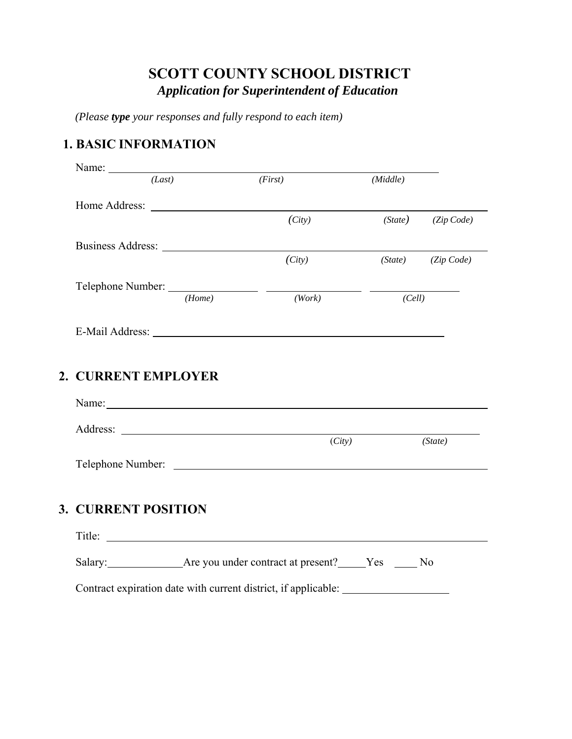# **SCOTT COUNTY SCHOOL DISTRICT**  *Application for Superintendent of Education*

*(Please type your responses and fully respond to each item)* 

## **1. BASIC INFORMATION**

|                            | Name:               |                                                                                                                                                                                                                                |          |                        |
|----------------------------|---------------------|--------------------------------------------------------------------------------------------------------------------------------------------------------------------------------------------------------------------------------|----------|------------------------|
|                            | (Last)              | (First)                                                                                                                                                                                                                        | (Middle) |                        |
|                            |                     |                                                                                                                                                                                                                                |          |                        |
|                            |                     | (City)                                                                                                                                                                                                                         |          | $(State)$ $(Zip Code)$ |
|                            |                     |                                                                                                                                                                                                                                |          |                        |
|                            |                     | (City)                                                                                                                                                                                                                         |          | (State) (Zip Code)     |
|                            |                     |                                                                                                                                                                                                                                |          |                        |
|                            | (Home)              | (Work)                                                                                                                                                                                                                         | (Cell)   |                        |
|                            |                     |                                                                                                                                                                                                                                |          |                        |
|                            |                     |                                                                                                                                                                                                                                |          |                        |
|                            | 2. CURRENT EMPLOYER |                                                                                                                                                                                                                                |          |                        |
|                            |                     |                                                                                                                                                                                                                                |          |                        |
|                            |                     |                                                                                                                                                                                                                                |          |                        |
|                            |                     | Name: Name and the state of the state of the state of the state of the state of the state of the state of the state of the state of the state of the state of the state of the state of the state of the state of the state of |          |                        |
|                            |                     |                                                                                                                                                                                                                                |          |                        |
|                            |                     | (City)                                                                                                                                                                                                                         |          | (State)                |
|                            |                     |                                                                                                                                                                                                                                |          |                        |
|                            |                     |                                                                                                                                                                                                                                |          |                        |
| <b>3. CURRENT POSITION</b> |                     |                                                                                                                                                                                                                                |          |                        |
|                            |                     |                                                                                                                                                                                                                                |          |                        |
|                            |                     |                                                                                                                                                                                                                                |          |                        |
|                            |                     | Salary: Are you under contract at present? Yes No                                                                                                                                                                              |          |                        |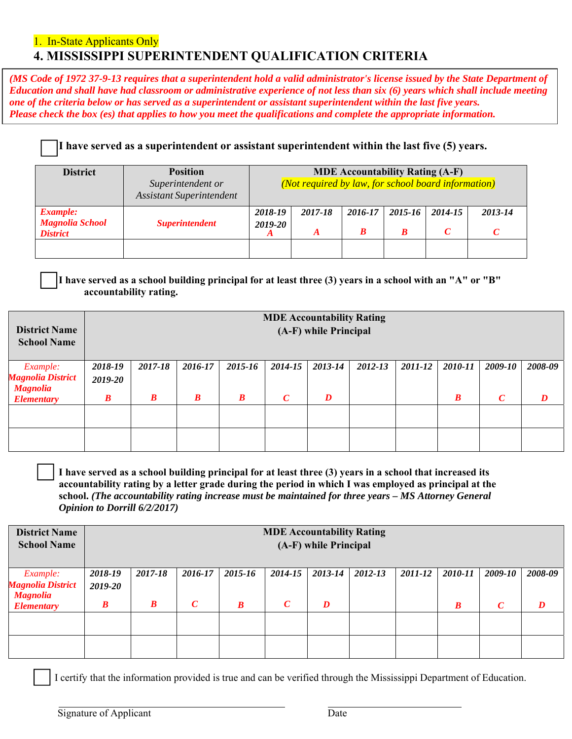### 1. In-State Applicants Only **4. MISSISSIPPI SUPERINTENDENT QUALIFICATION CRITERIA**

*(MS Code of 1972 37-9-13 requires that a superintendent hold a valid administrator's license issued by the State Department of Education and shall have had classroom or administrative experience of not less than six (6) years which shall include meeting one of the criteria below or has served as a superintendent or assistant superintendent within the last five years. Please check the box (es) that applies to how you meet the qualifications and complete the appropriate information.*

#### **I have served as a superintendent or assistant superintendent within the last five (5) years.**

| <b>District</b>                                              | <b>Position</b><br>Superintendent or<br><b>Assistant Superintendent</b> | <b>MDE Accountability Rating (A-F)</b><br>(Not required by law, for school board information) |         |         |              |         |              |  |
|--------------------------------------------------------------|-------------------------------------------------------------------------|-----------------------------------------------------------------------------------------------|---------|---------|--------------|---------|--------------|--|
| <b>Example:</b><br><b>Magnolia School</b><br><b>District</b> | <i><b>Superintendent</b></i>                                            | 2018-19<br>2019-20                                                                            | 2017-18 | 2016-17 | 2015-16<br>R | 2014-15 | 2013-14<br>C |  |
|                                                              |                                                                         |                                                                                               |         |         |              |         |              |  |

**I have served as a school building principal for at least three (3) years in a school with an "A" or "B" accountability rating.** 

| <b>District Name</b><br><b>School Name</b>  |                  | <b>MDE Accountability Rating</b><br>(A-F) while Principal |                  |                  |                  |         |         |         |                  |                  |         |
|---------------------------------------------|------------------|-----------------------------------------------------------|------------------|------------------|------------------|---------|---------|---------|------------------|------------------|---------|
| <i>Example:</i>                             | 2018-19          | 2017-18                                                   | 2016-17          | 2015-16          | 2014-15          | 2013-14 | 2012-13 | 2011-12 | 2010-11          | 2009-10          | 2008-09 |
| <b>Magnolia District</b><br><b>Magnolia</b> | 2019-20          |                                                           |                  |                  |                  |         |         |         |                  |                  |         |
| <b>Elementary</b>                           | $\boldsymbol{B}$ | $\boldsymbol{B}$                                          | $\boldsymbol{B}$ | $\boldsymbol{B}$ | $\boldsymbol{C}$ | D       |         |         | $\boldsymbol{B}$ | $\boldsymbol{C}$ | D       |
|                                             |                  |                                                           |                  |                  |                  |         |         |         |                  |                  |         |
|                                             |                  |                                                           |                  |                  |                  |         |         |         |                  |                  |         |

**I have served as a school building principal for at least three (3) years in a school that increased its accountability rating by a letter grade during the period in which I was employed as principal at the school.** *(The accountability rating increase must be maintained for three years – MS Attorney General Opinion to Dorrill 6/2/2017)* 

| <b>District Name</b><br><b>School Name</b>  | <b>MDE Accountability Rating</b><br>(A-F) while Principal |                  |               |                  |                  |         |         |         |                  |                  |         |
|---------------------------------------------|-----------------------------------------------------------|------------------|---------------|------------------|------------------|---------|---------|---------|------------------|------------------|---------|
| <i>Example:</i>                             | 2018-19                                                   | 2017-18          | 2016-17       | 2015-16          | 2014-15          | 2013-14 | 2012-13 | 2011-12 | 2010-11          | 2009-10          | 2008-09 |
| <b>Magnolia District</b><br><b>Magnolia</b> | 2019-20                                                   |                  |               |                  |                  |         |         |         |                  |                  |         |
| <b>Elementary</b>                           | $\boldsymbol{B}$                                          | $\boldsymbol{B}$ | $\mathcal{C}$ | $\boldsymbol{B}$ | $\boldsymbol{C}$ | D       |         |         | $\boldsymbol{B}$ | $\boldsymbol{C}$ | D       |
|                                             |                                                           |                  |               |                  |                  |         |         |         |                  |                  |         |
|                                             |                                                           |                  |               |                  |                  |         |         |         |                  |                  |         |

I certify that the information provided is true and can be verified through the Mississippi Department of Education.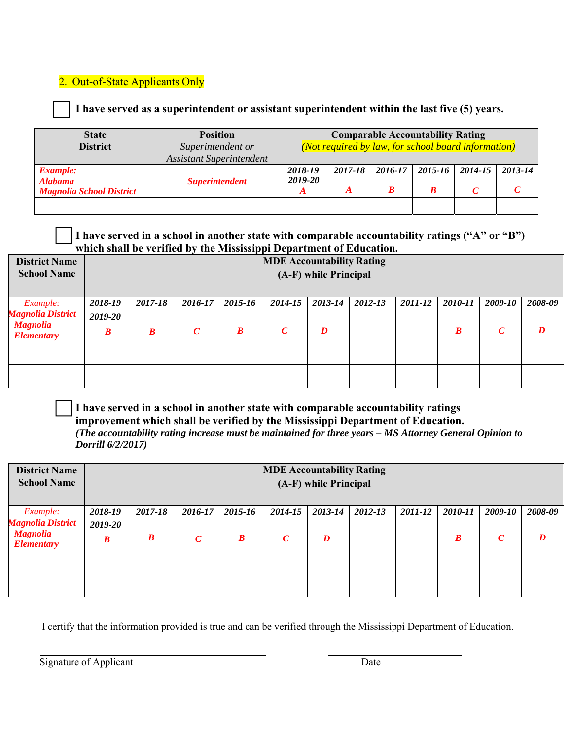#### 2. Out-of-State Applicants Only

**I have served as a superintendent or assistant superintendent within the last five (5) years.**

| <b>State</b><br><b>District</b>                                      | <b>Position</b><br>Superintendent or<br><b>Assistant Superintendent</b> |                    | <b>Comparable Accountability Rating</b><br>(Not required by law, for school board information) |         |         |              |             |  |
|----------------------------------------------------------------------|-------------------------------------------------------------------------|--------------------|------------------------------------------------------------------------------------------------|---------|---------|--------------|-------------|--|
| <b>Example:</b><br><b>Alabama</b><br><b>Magnolia School District</b> | <b>Superintendent</b>                                                   | 2018-19<br>2019-20 | 2017-18                                                                                        | 2016-17 | 2015-16 | 2014-15<br>⌒ | $2013 - 14$ |  |
|                                                                      |                                                                         |                    |                                                                                                |         |         |              |             |  |

#### **I have served in a school in another state with comparable accountability ratings ("A" or "B") which shall be verified by the Mississippi Department of Education.**

| <b>District Name</b><br><b>School Name</b>              | <b>MDE Accountability Rating</b><br>(A-F) while Principal |                  |                          |              |                             |              |         |         |                             |                             |         |
|---------------------------------------------------------|-----------------------------------------------------------|------------------|--------------------------|--------------|-----------------------------|--------------|---------|---------|-----------------------------|-----------------------------|---------|
| Example:<br><b>Magnolia District</b><br><b>Magnolia</b> | 2018-19<br>2019-20                                        | 2017-18          | 2016-17<br>$\mathcal{C}$ | 2015-16<br>B | 2014-15<br>$\boldsymbol{C}$ | 2013-14<br>D | 2012-13 | 2011-12 | 2010-11<br>$\boldsymbol{B}$ | 2009-10<br>$\boldsymbol{C}$ | 2008-09 |
| <b>Elementary</b>                                       | $\boldsymbol{B}$                                          | $\boldsymbol{B}$ |                          |              |                             |              |         |         |                             |                             |         |
|                                                         |                                                           |                  |                          |              |                             |              |         |         |                             |                             |         |

**I have served in a school in another state with comparable accountability ratings improvement which shall be verified by the Mississippi Department of Education.**  *(The accountability rating increase must be maintained for three years – MS Attorney General Opinion to Dorrill 6/2/2017)* 

| <b>District Name</b><br><b>School Name</b> | <b>MDE Accountability Rating</b><br>(A-F) while Principal |                  |                  |                  |               |         |         |         |                  |                  |         |
|--------------------------------------------|-----------------------------------------------------------|------------------|------------------|------------------|---------------|---------|---------|---------|------------------|------------------|---------|
| Example:<br><b>Magnolia District</b>       | 2018-19                                                   | 2017-18          | 2016-17          | 2015-16          | 2014-15       | 2013-14 | 2012-13 | 2011-12 | 2010-11          | 2009-10          | 2008-09 |
| <b>Magnolia</b><br><b>Elementary</b>       | 2019-20<br>$\boldsymbol{B}$                               | $\boldsymbol{B}$ | $\boldsymbol{C}$ | $\boldsymbol{B}$ | $\mathcal{C}$ | D       |         |         | $\boldsymbol{B}$ | $\boldsymbol{C}$ | D       |
|                                            |                                                           |                  |                  |                  |               |         |         |         |                  |                  |         |
|                                            |                                                           |                  |                  |                  |               |         |         |         |                  |                  |         |

I certify that the information provided is true and can be verified through the Mississippi Department of Education.

Signature of Applicant Date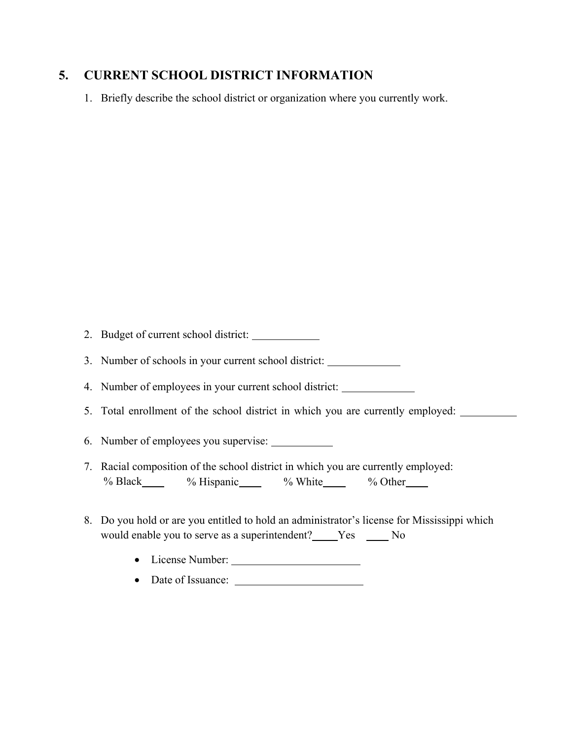### **5. CURRENT SCHOOL DISTRICT INFORMATION**

1. Briefly describe the school district or organization where you currently work.

2. Budget of current school district:

3. Number of schools in your current school district:

4. Number of employees in your current school district:

- 5. Total enrollment of the school district in which you are currently employed:
- 6. Number of employees you supervise:
- 7. Racial composition of the school district in which you are currently employed: % Black % Hispanic % White % Other
- 8. Do you hold or are you entitled to hold an administrator's license for Mississippi which would enable you to serve as a superintendent? Yes No
	- License Number:
	- Date of Issuance: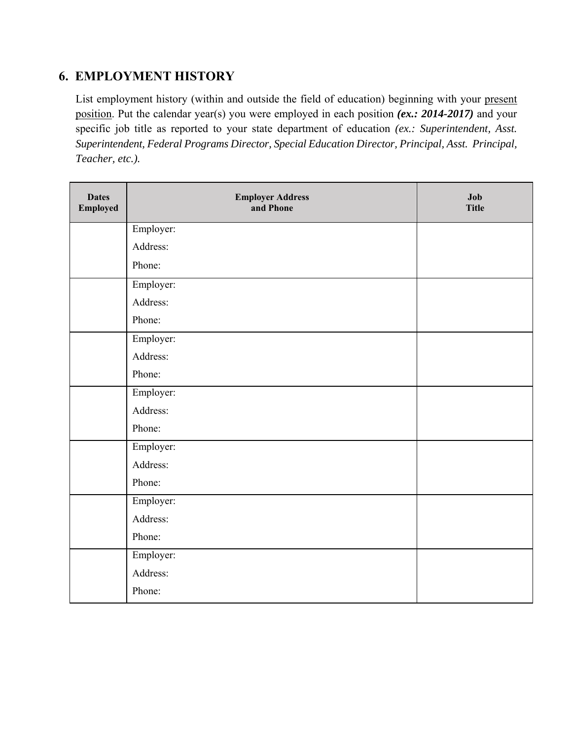## **6. EMPLOYMENT HISTORY**

List employment history (within and outside the field of education) beginning with your present position. Put the calendar year(s) you were employed in each position *(ex.: 2014-2017)* and your specific job title as reported to your state department of education *(ex.: Superintendent, Asst. Superintendent, Federal Programs Director, Special Education Director, Principal, Asst. Principal, Teacher, etc.).*

| <b>Dates</b><br><b>Employed</b> | <b>Employer Address</b><br>and Phone | Job<br><b>Title</b> |
|---------------------------------|--------------------------------------|---------------------|
|                                 | Employer:                            |                     |
|                                 | Address:                             |                     |
|                                 | Phone:                               |                     |
|                                 | Employer:                            |                     |
|                                 | Address:                             |                     |
|                                 | Phone:                               |                     |
|                                 | Employer:                            |                     |
|                                 | Address:                             |                     |
|                                 | Phone:                               |                     |
|                                 | Employer:                            |                     |
|                                 | Address:                             |                     |
|                                 | Phone:                               |                     |
|                                 | Employer:                            |                     |
|                                 | Address:                             |                     |
|                                 | Phone:                               |                     |
|                                 | Employer:                            |                     |
|                                 | Address:                             |                     |
|                                 | Phone:                               |                     |
|                                 | Employer:                            |                     |
|                                 | Address:                             |                     |
|                                 | Phone:                               |                     |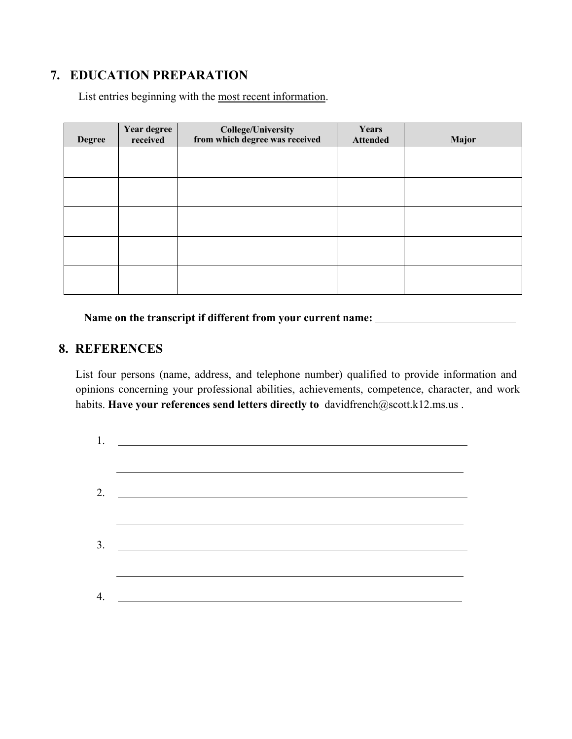## **7. EDUCATION PREPARATION**

List entries beginning with the most recent information.

| <b>Degree</b> | Year degree<br>received | College/University<br>from which degree was received | Years<br><b>Attended</b> | <b>Major</b> |
|---------------|-------------------------|------------------------------------------------------|--------------------------|--------------|
|               |                         |                                                      |                          |              |
|               |                         |                                                      |                          |              |
|               |                         |                                                      |                          |              |
|               |                         |                                                      |                          |              |
|               |                         |                                                      |                          |              |
|               |                         |                                                      |                          |              |

**Name on the transcript if different from your current name:** 

### **8. REFERENCES**

List four persons (name, address, and telephone number) qualified to provide information and opinions concerning your professional abilities, achievements, competence, character, and work habits. **Have your references send letters directly to** davidfrench@scott.k12.ms.us .

| 1. |  |
|----|--|
|    |  |
| 2. |  |
|    |  |
| 3. |  |
|    |  |
|    |  |
| 4. |  |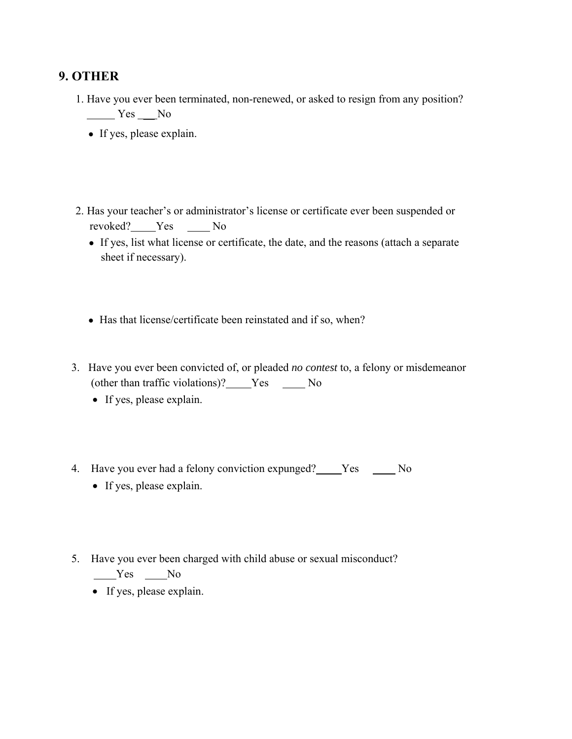## **9. OTHER**

- 1. Have you ever been terminated, non-renewed, or asked to resign from any position? Yes \_\_ No
	- If yes, please explain.
- 2. Has your teacher's or administrator's license or certificate ever been suspended or revoked? Yes No
	- If yes, list what license or certificate, the date, and the reasons (attach a separate sheet if necessary).
	- Has that license/certificate been reinstated and if so, when?
- 3. Have you ever been convicted of, or pleaded *no contest* to, a felony or misdemeanor (other than traffic violations)? Yes \_\_\_\_\_ No
	- If yes, please explain.
- 4. Have you ever had a felony conviction expunged? Yes \_\_\_\_ No
	- If yes, please explain.
- 5. Have you ever been charged with child abuse or sexual misconduct?  $Yes$  No
	- If yes, please explain.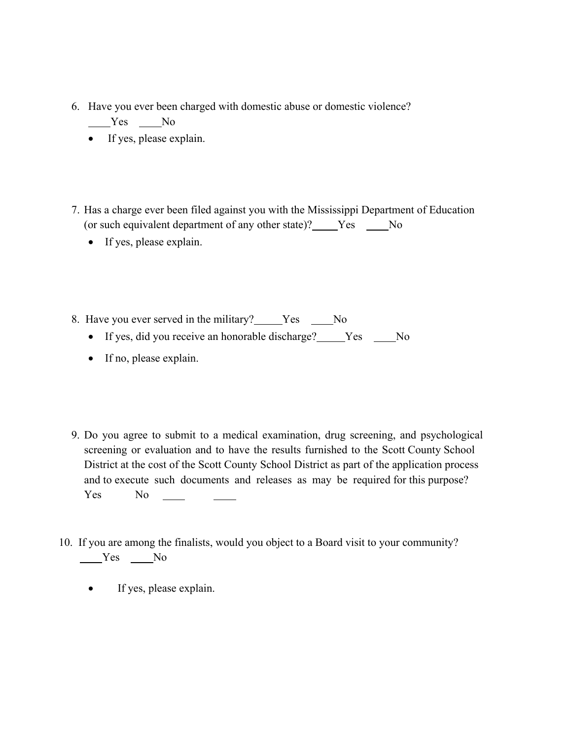- 6. Have you ever been charged with domestic abuse or domestic violence?  $Yes$  No
	- If yes, please explain.
- 7. Has a charge ever been filed against you with the Mississippi Department of Education (or such equivalent department of any other state)? Yes \_\_\_\_No
	- If yes, please explain.
- 8. Have you ever served in the military? Yes \_\_\_\_No
	- If yes, did you receive an honorable discharge? \_\_\_\_\_Yes \_\_\_\_\_No
	- If no, please explain.
- 9. Do you agree to submit to a medical examination, drug screening, and psychological screening or evaluation and to have the results furnished to the Scott County School District at the cost of the Scott County School District as part of the application process and to execute such documents and releases as may be required for this purpose? Yes No
- 10. If you are among the finalists, would you object to a Board visit to your community? Yes No
	- If yes, please explain.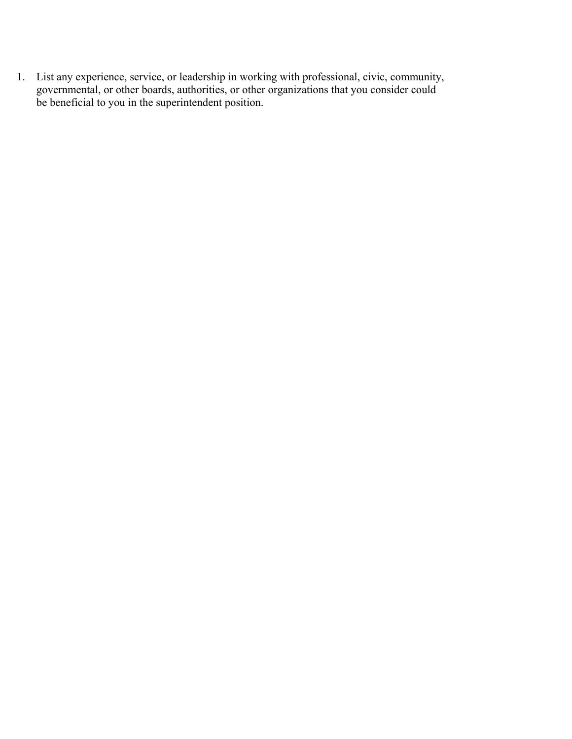1. List any experience, service, or leadership in working with professional, civic, community, governmental, or other boards, authorities, or other organizations that you consider could be beneficial to you in the superintendent position.